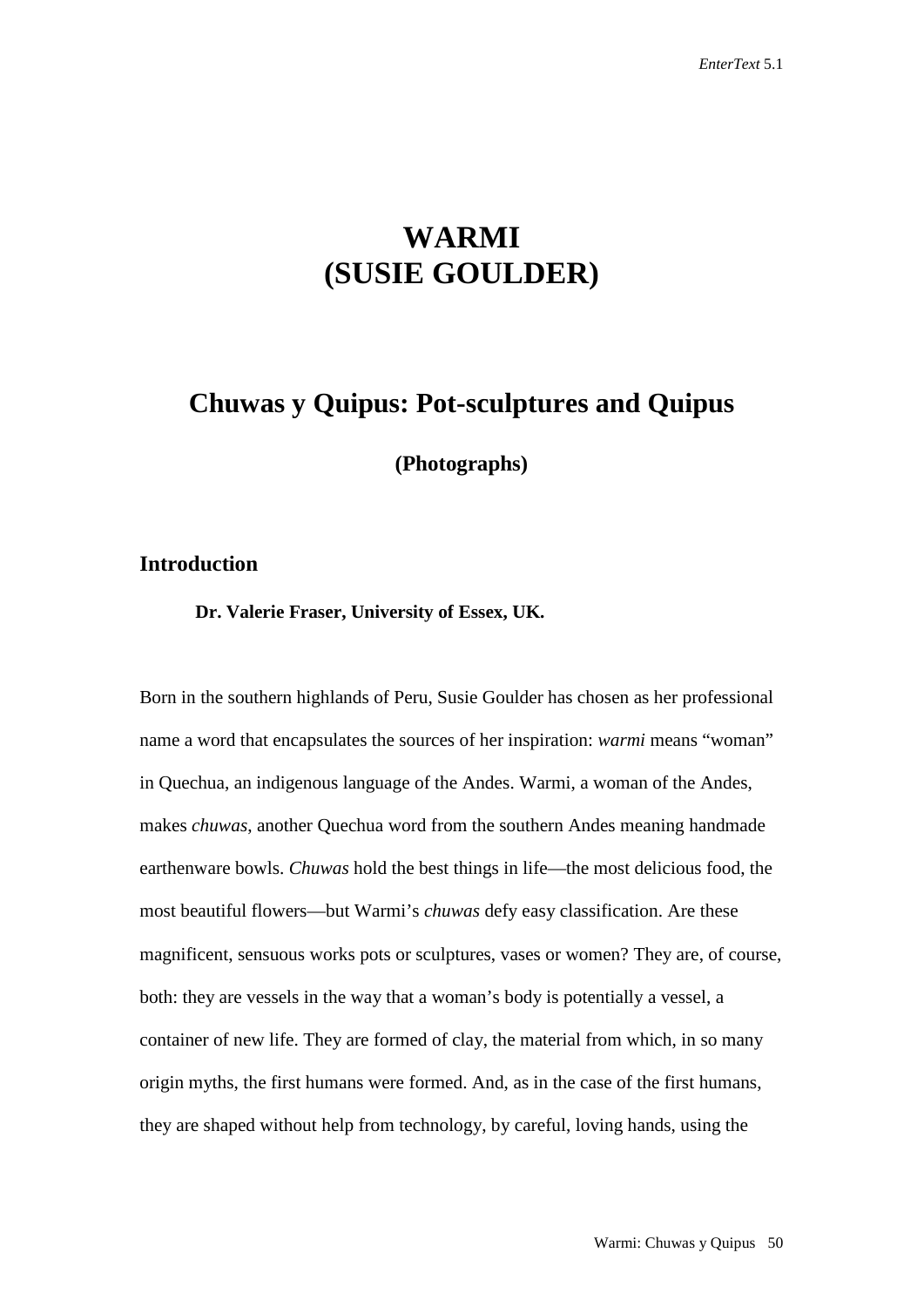# **WARMI (SUSIE GOULDER)**

## **Chuwas y Quipus: Pot-sculptures and Quipus**

**(Photographs)**

#### **Introduction**

**Dr. Valerie Fraser, University of Essex, UK.**

Born in the southern highlands of Peru, Susie Goulder has chosen as her professional name a word that encapsulates the sources of her inspiration: *warmi* means "woman" in Quechua, an indigenous language of the Andes. Warmi, a woman of the Andes, makes *chuwas*, another Quechua word from the southern Andes meaning handmade earthenware bowls. *Chuwas* hold the best things in life—the most delicious food, the most beautiful flowers—but Warmi's *chuwas* defy easy classification. Are these magnificent, sensuous works pots or sculptures, vases or women? They are, of course, both: they are vessels in the way that a woman's body is potentially a vessel, a container of new life. They are formed of clay, the material from which, in so many origin myths, the first humans were formed. And, as in the case of the first humans, they are shaped without help from technology, by careful, loving hands, using the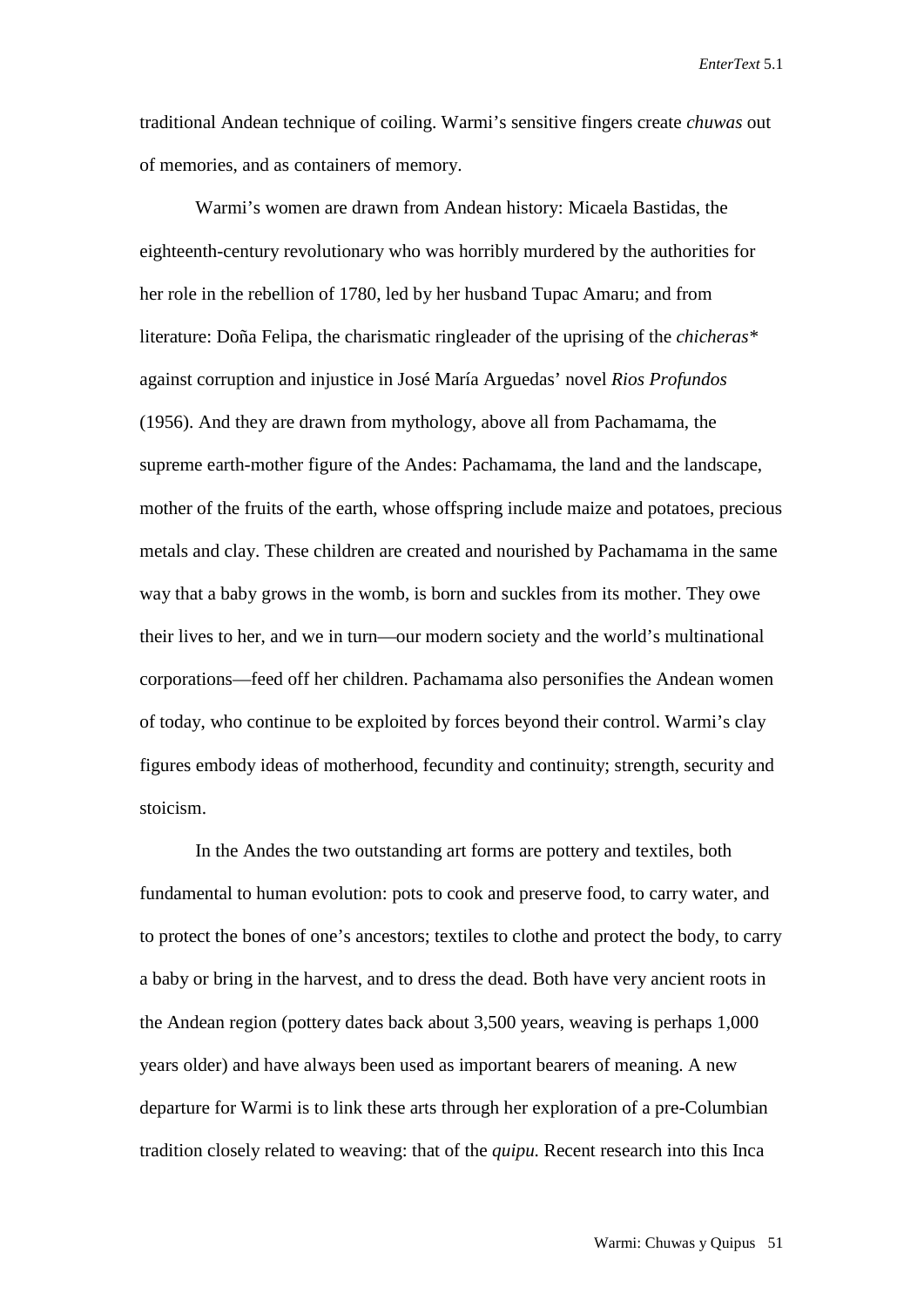*EnterText* 5.1

traditional Andean technique of coiling. Warmi's sensitive fingers create *chuwas* out of memories, and as containers of memory.

Warmi's women are drawn from Andean history: Micaela Bastidas, the eighteenth-century revolutionary who was horribly murdered by the authorities for her role in the rebellion of 1780, led by her husband Tupac Amaru; and from literature: Doña Felipa, the charismatic ringleader of the uprising of the *chicheras\**  against corruption and injustice in José María Arguedas' novel *Rios Profundos*  (1956). And they are drawn from mythology, above all from Pachamama, the supreme earth-mother figure of the Andes: Pachamama, the land and the landscape, mother of the fruits of the earth, whose offspring include maize and potatoes, precious metals and clay. These children are created and nourished by Pachamama in the same way that a baby grows in the womb, is born and suckles from its mother. They owe their lives to her, and we in turn—our modern society and the world's multinational corporations—feed off her children. Pachamama also personifies the Andean women of today, who continue to be exploited by forces beyond their control. Warmi's clay figures embody ideas of motherhood, fecundity and continuity; strength, security and stoicism.

In the Andes the two outstanding art forms are pottery and textiles, both fundamental to human evolution: pots to cook and preserve food, to carry water, and to protect the bones of one's ancestors; textiles to clothe and protect the body, to carry a baby or bring in the harvest, and to dress the dead. Both have very ancient roots in the Andean region (pottery dates back about 3,500 years, weaving is perhaps 1,000 years older) and have always been used as important bearers of meaning. A new departure for Warmi is to link these arts through her exploration of a pre-Columbian tradition closely related to weaving: that of the *quipu.* Recent research into this Inca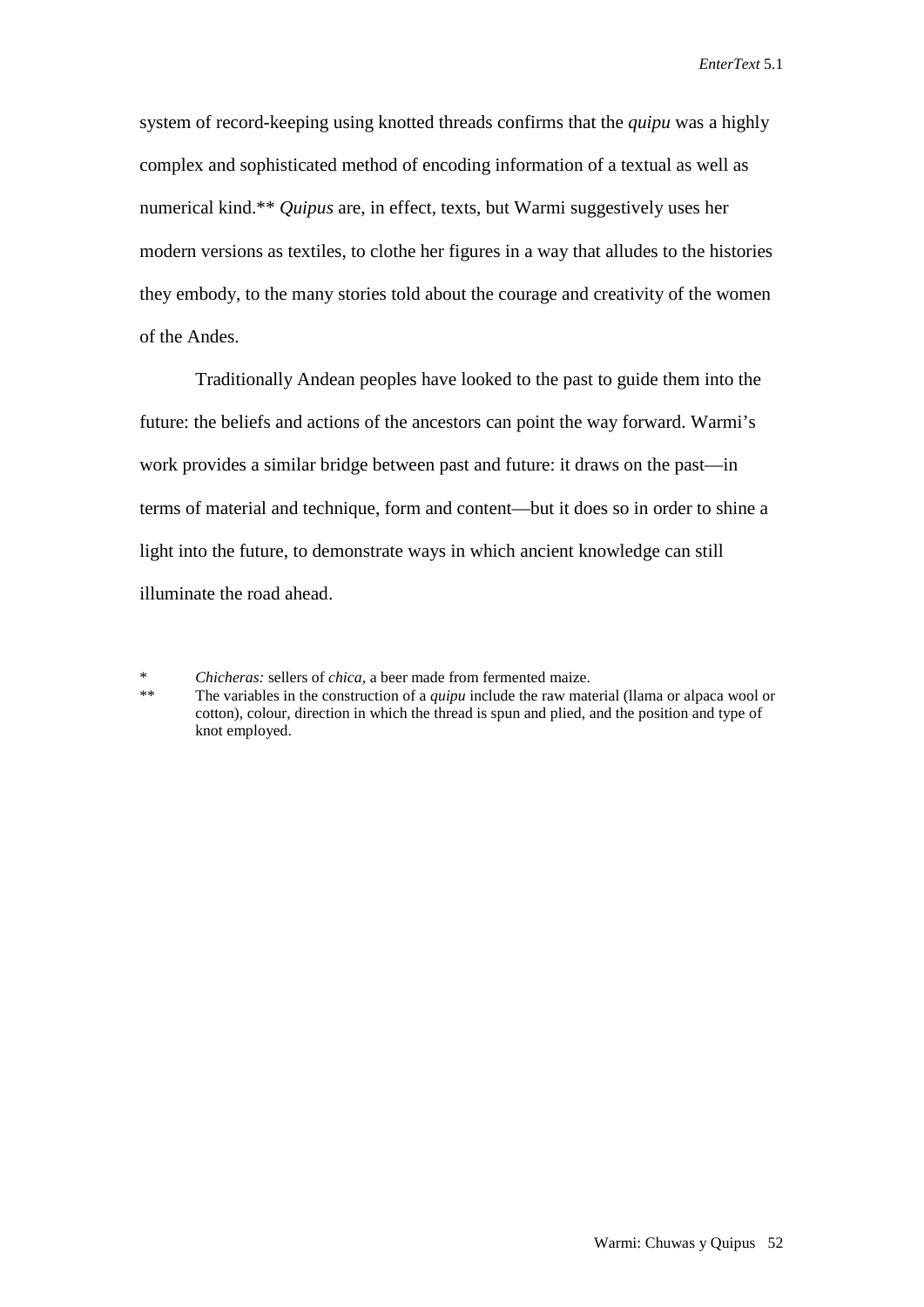system of record-keeping using knotted threads confirms that the *quipu* was a highly complex and sophisticated method of encoding information of a textual as well as numerical kind.\*\* *Quipus* are, in effect, texts, but Warmi suggestively uses her modern versions as textiles, to clothe her figures in a way that alludes to the histories they embody, to the many stories told about the courage and creativity of the women of the Andes.

Traditionally Andean peoples have looked to the past to guide them into the future: the beliefs and actions of the ancestors can point the way forward. Warmi's work provides a similar bridge between past and future: it draws on the past—in terms of material and technique, form and content—but it does so in order to shine a light into the future, to demonstrate ways in which ancient knowledge can still illuminate the road ahead.

<sup>\*</sup> *Chicheras:* sellers of *chica,* a beer made from fermented maize.

The variables in the construction of a *quipu* include the raw material (llama or alpaca wool or cotton), colour, direction in which the thread is spun and plied, and the position and type of knot employed.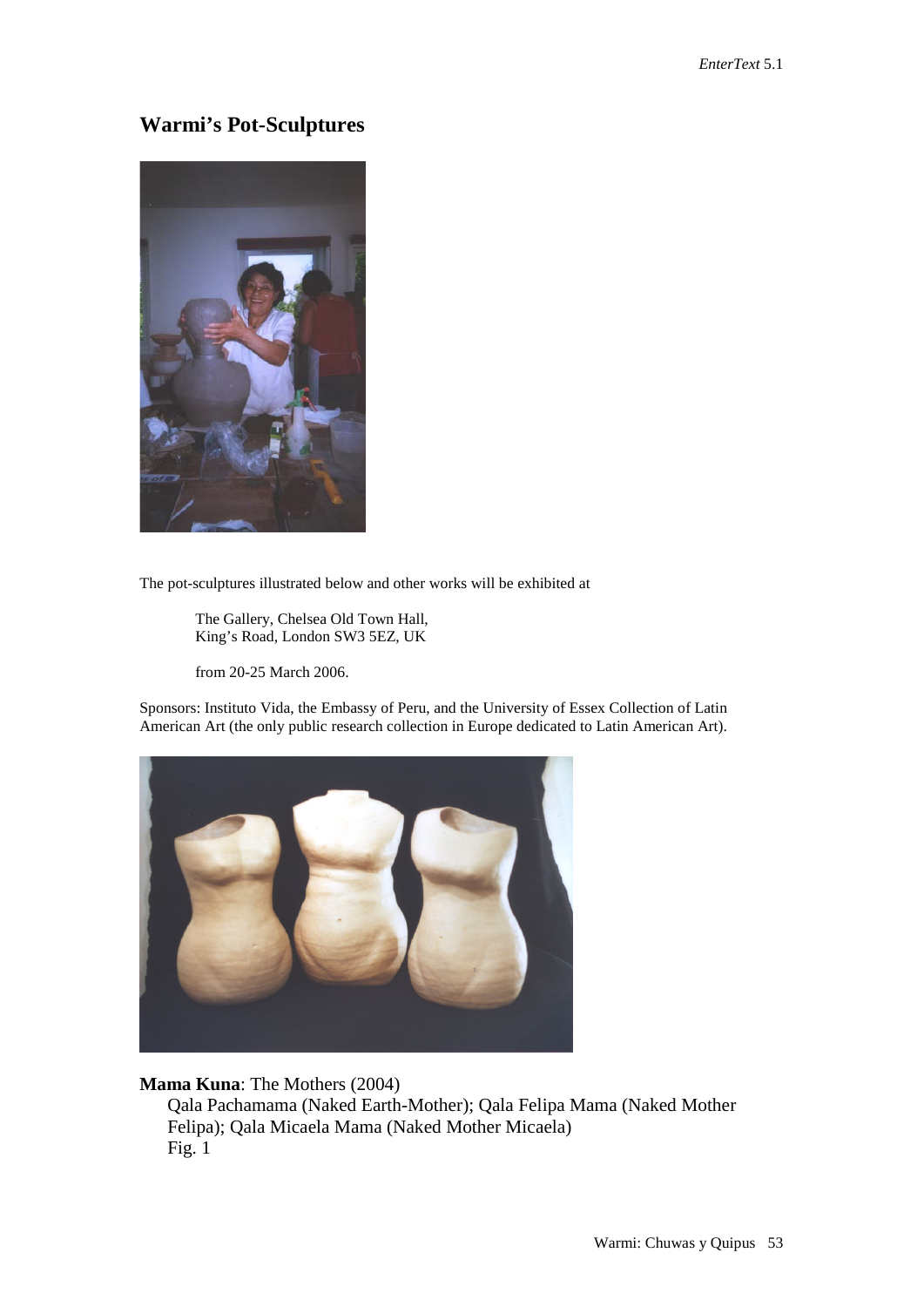### **Warmi's Pot-Sculptures**



The pot-sculptures illustrated below and other works will be exhibited at

The Gallery, Chelsea Old Town Hall, King's Road, London SW3 5EZ, UK

from 20-25 March 2006.

Sponsors: Instituto Vida, the Embassy of Peru, and the University of Essex Collection of Latin American Art (the only public research collection in Europe dedicated to Latin American Art).



#### **Mama Kuna**: The Mothers (2004)

Qala Pachamama (Naked Earth-Mother); Qala Felipa Mama (Naked Mother Felipa); Qala Micaela Mama (Naked Mother Micaela) Fig. 1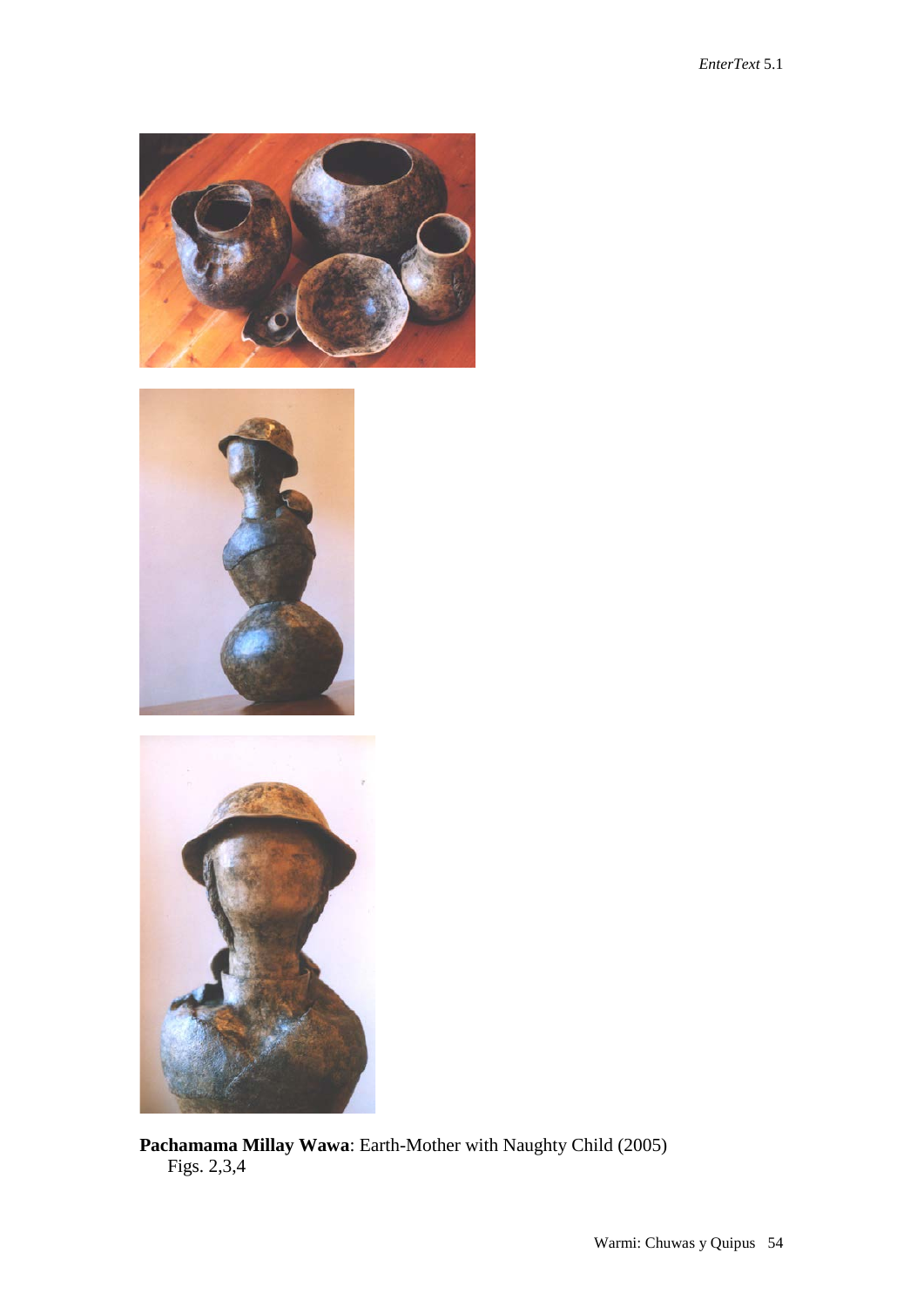





**Pachamama Millay Wawa**: Earth-Mother with Naughty Child (2005) Figs. 2,3,4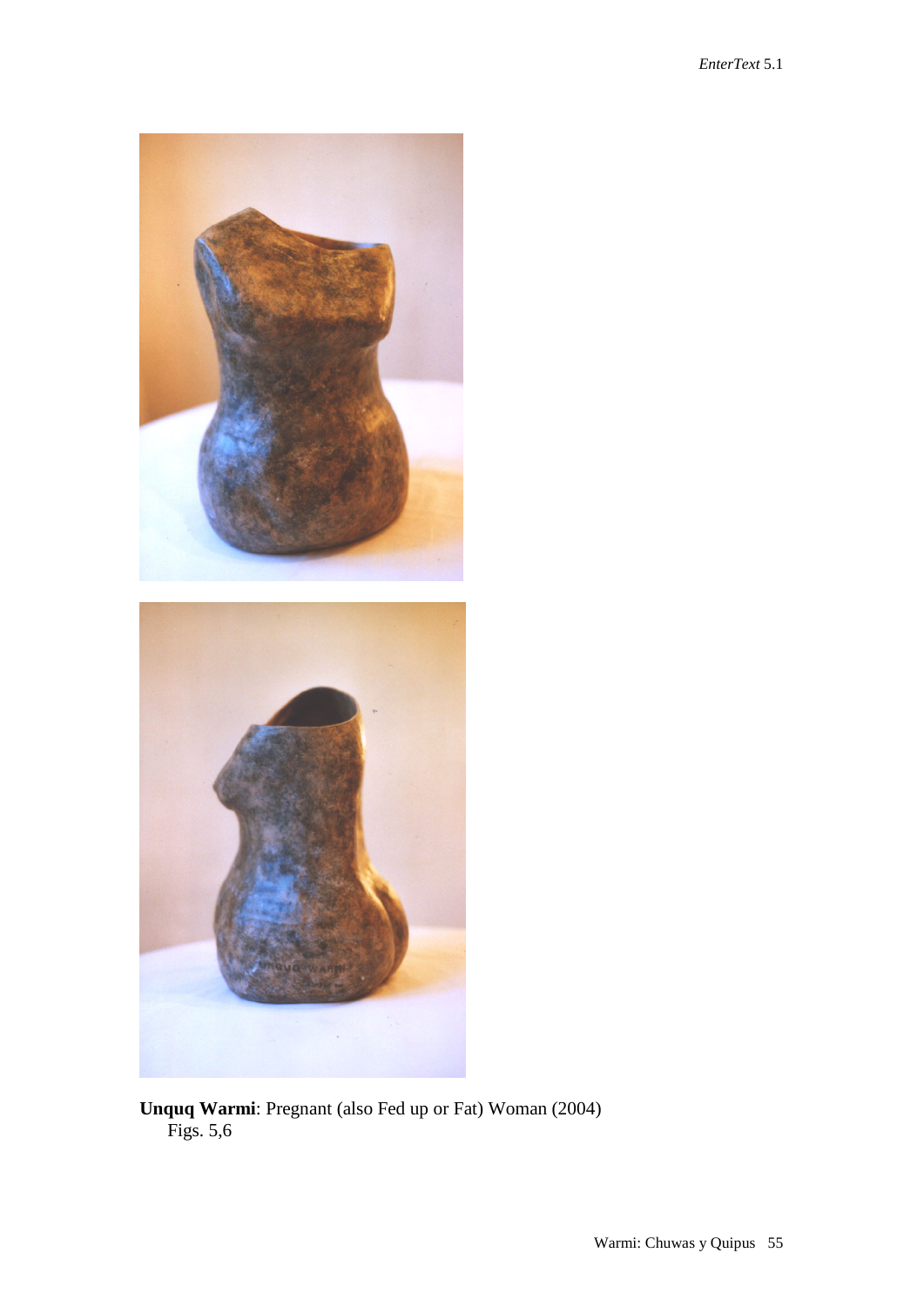

**Unquq Warmi**: Pregnant (also Fed up or Fat) Woman (2004) Figs. 5,6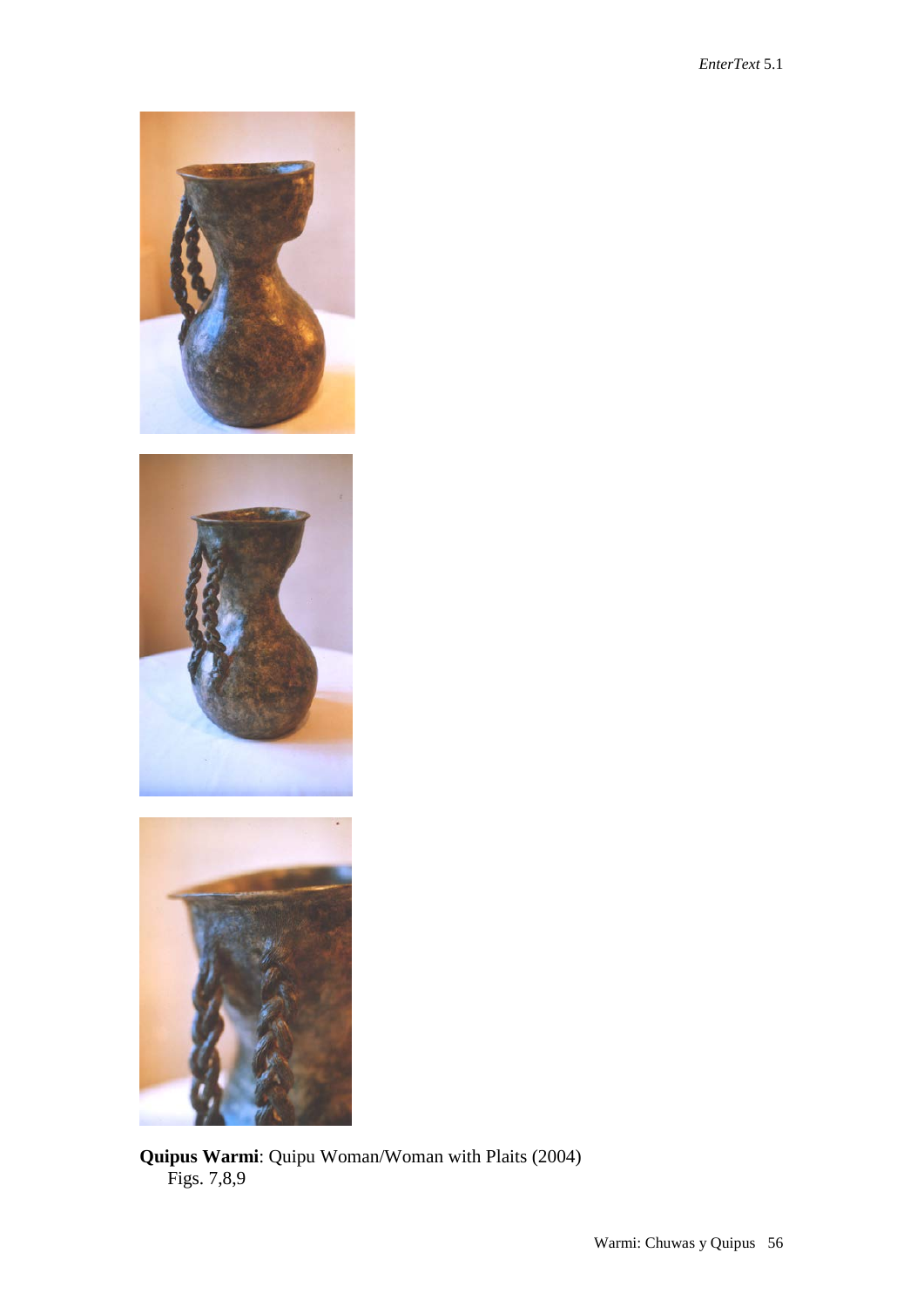

**Quipus Warmi**: Quipu Woman/Woman with Plaits (2004) Figs. 7,8,9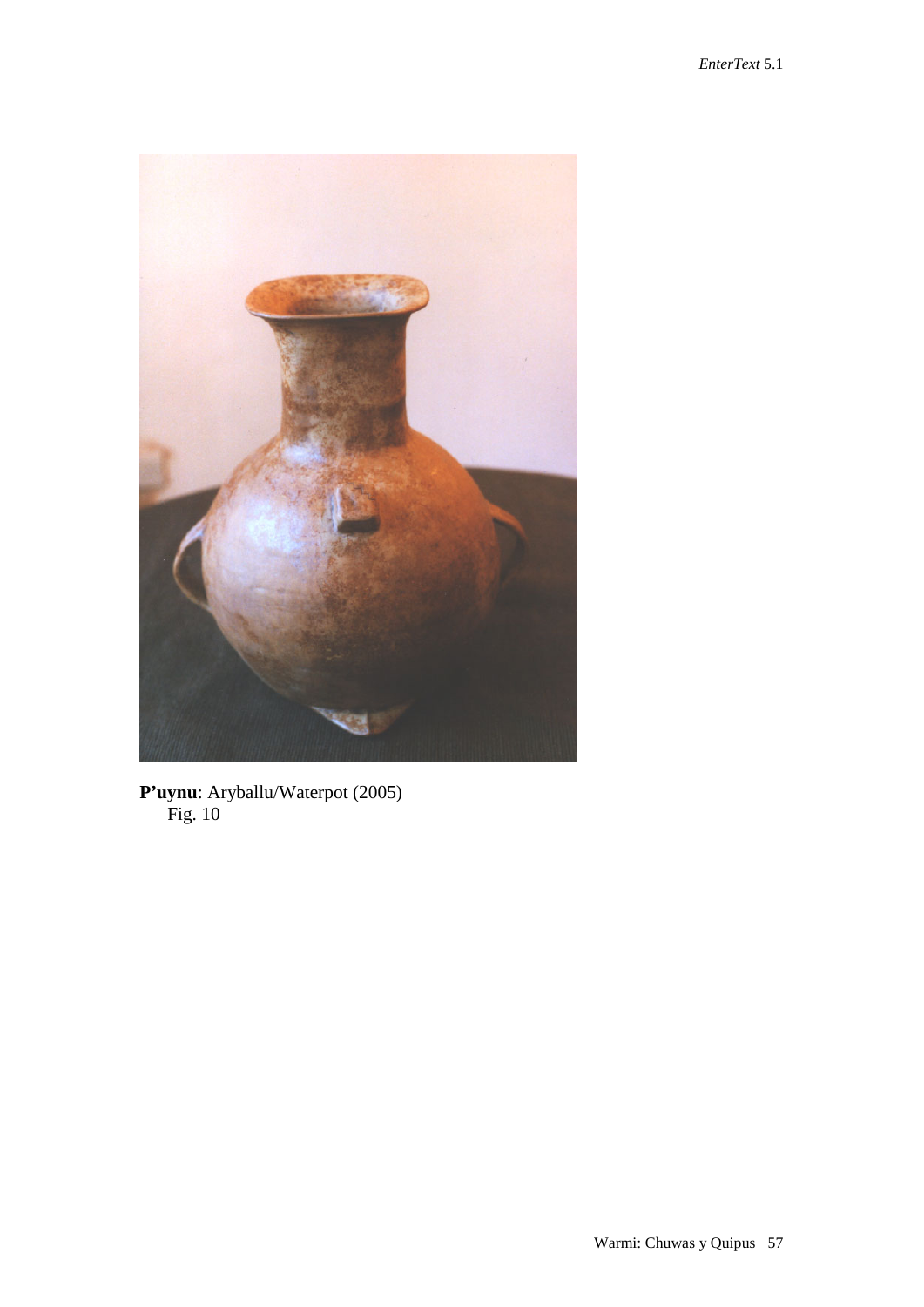

**P'uynu**: Aryballu/Waterpot (2005) Fig. 10